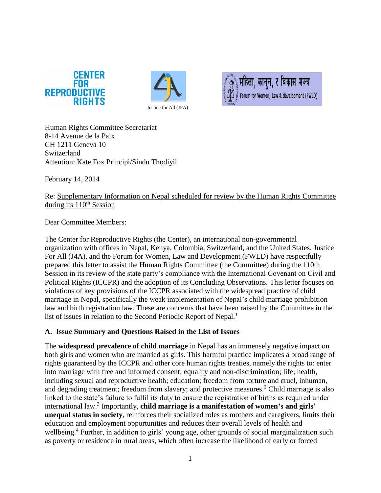





Human Rights Committee Secretariat 8-14 Avenue de la Paix CH 1211 Geneva 10 Switzerland Attention: Kate Fox Principi/Sindu Thodiyil

February 14, 2014

Re: Supplementary Information on Nepal scheduled for review by the Human Rights Committee during its  $110<sup>th</sup>$  Session

Dear Committee Members:

The Center for Reproductive Rights (the Center), an international non-governmental organization with offices in Nepal, Kenya, Colombia, Switzerland, and the United States, Justice For All (J4A), and the Forum for Women, Law and Development (FWLD) have respectfully prepared this letter to assist the Human Rights Committee (the Committee) during the 110th Session in its review of the state party's compliance with the International Covenant on Civil and Political Rights (ICCPR) and the adoption of its Concluding Observations. This letter focuses on violations of key provisions of the ICCPR associated with the widespread practice of child marriage in Nepal, specifically the weak implementation of Nepal's child marriage prohibition law and birth registration law. These are concerns that have been raised by the Committee in the list of issues in relation to the Second Periodic Report of Nepal.<sup>1</sup>

# **A. Issue Summary and Questions Raised in the List of Issues**

The **widespread prevalence of child marriage** in Nepal has an immensely negative impact on both girls and women who are married as girls. This harmful practice implicates a broad range of rights guaranteed by the ICCPR and other core human rights treaties, namely the rights to: enter into marriage with free and informed consent; equality and non-discrimination; life; health, including sexual and reproductive health; education; freedom from torture and cruel, inhuman, and degrading treatment; freedom from slavery; and protective measures. <sup>2</sup> Child marriage is also linked to the state's failure to fulfil its duty to ensure the registration of births as required under international law.<sup>3</sup> Importantly, **child marriage is a manifestation of women's and girls' unequal status in society**, reinforces their socialized roles as mothers and caregivers, limits their education and employment opportunities and reduces their overall levels of health and wellbeing.<sup>4</sup> Further, in addition to girls' young age, other grounds of social marginalization such as poverty or residence in rural areas, which often increase the likelihood of early or forced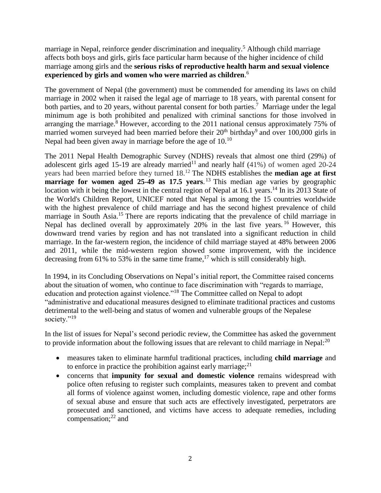marriage in Nepal, reinforce gender discrimination and inequality.<sup>5</sup> Although child marriage affects both boys and girls, girls face particular harm because of the higher incidence of child marriage among girls and the **serious risks of reproductive health harm and sexual violence experienced by girls and women who were married as children**. 6

The government of Nepal (the government) must be commended for amending its laws on child marriage in 2002 when it raised the legal age of marriage to 18 years, with parental consent for both parties, and to 20 years, without parental consent for both parties.<sup>7</sup> Marriage under the legal minimum age is both prohibited and penalized with criminal sanctions for those involved in arranging the marriage.<sup>8</sup> However, according to the 2011 national census approximately 75% of married women surveyed had been married before their  $20<sup>th</sup>$  birthday<sup>9</sup> and over 100,000 girls in Nepal had been given away in marriage before the age of  $10^{10}$ 

The 2011 Nepal Health Demographic Survey (NDHS) reveals that almost one third (29%) of adolescent girls aged 15-19 are already married<sup>11</sup> and nearly half  $(41%)$  of women aged 20-24 years had been married before they turned 18.<sup>12</sup> The NDHS establishes the **median age at first marriage for women aged 25-49 as 17.5 years**. <sup>13</sup> This median age varies by geographic location with it being the lowest in the central region of Nepal at 16.1 years.<sup>14</sup> In its 2013 State of the World's Children Report, UNICEF noted that Nepal is among the 15 countries worldwide with the highest prevalence of child marriage and has the second highest prevalence of child marriage in South Asia.<sup>15</sup> There are reports indicating that the prevalence of child marriage in Nepal has declined overall by approximately 20% in the last five years. <sup>16</sup> However, this downward trend varies by region and has not translated into a significant reduction in child marriage. In the far-western region, the incidence of child marriage stayed at 48% between 2006 and 2011, while the mid-western region showed some improvement, with the incidence decreasing from 61% to 53% in the same time frame,<sup>17</sup> which is still considerably high.

In 1994, in its Concluding Observations on Nepal's initial report, the Committee raised concerns about the situation of women, who continue to face discrimination with "regards to marriage, education and protection against violence."<sup>18</sup> The Committee called on Nepal to adopt "administrative and educational measures designed to eliminate traditional practices and customs detrimental to the well-being and status of women and vulnerable groups of the Nepalese society."<sup>19</sup>

In the list of issues for Nepal's second periodic review, the Committee has asked the government to provide information about the following issues that are relevant to child marriage in Nepal: $^{20}$ 

- measures taken to eliminate harmful traditional practices, including **child marriage** and to enforce in practice the prohibition against early marriage;<sup>21</sup>
- concerns that **impunity for sexual and domestic violence** remains widespread with police often refusing to register such complaints, measures taken to prevent and combat all forms of violence against women, including domestic violence, rape and other forms of sexual abuse and ensure that such acts are effectively investigated, perpetrators are prosecuted and sanctioned, and victims have access to adequate remedies, including compensation; <sup>22</sup> and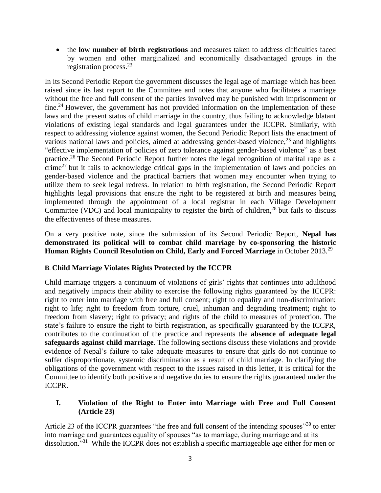the **low number of birth registrations** and measures taken to address difficulties faced by women and other marginalized and economically disadvantaged groups in the registration process. 23

In its Second Periodic Report the government discusses the legal age of marriage which has been raised since its last report to the Committee and notes that anyone who facilitates a marriage without the free and full consent of the parties involved may be punished with imprisonment or fine.<sup>24</sup> However, the government has not provided information on the implementation of these laws and the present status of child marriage in the country, thus failing to acknowledge blatant violations of existing legal standards and legal guarantees under the ICCPR. Similarly, with respect to addressing violence against women, the Second Periodic Report lists the enactment of various national laws and policies, aimed at addressing gender-based violence,<sup>25</sup> and highlights "effective implementation of policies of zero tolerance against gender-based violence" as a best practice.<sup>26</sup> The Second Periodic Report further notes the legal recognition of marital rape as a crime<sup>27</sup> but it fails to acknowledge critical gaps in the implementation of laws and policies on gender-based violence and the practical barriers that women may encounter when trying to utilize them to seek legal redress. In relation to birth registration, the Second Periodic Report highlights legal provisions that ensure the right to be registered at birth and measures being implemented through the appointment of a local registrar in each Village Development Committee (VDC) and local municipality to register the birth of children,<sup>28</sup> but fails to discuss the effectiveness of these measures.

On a very positive note, since the submission of its Second Periodic Report, **Nepal has demonstrated its political will to combat child marriage by co-sponsoring the historic Human Rights Council Resolution on Child, Early and Forced Marriage** in October 2013.<sup>29</sup>

# **B**. **Child Marriage Violates Rights Protected by the ICCPR**

Child marriage triggers a continuum of violations of girls' rights that continues into adulthood and negatively impacts their ability to exercise the following rights guaranteed by the ICCPR: right to enter into marriage with free and full consent; right to equality and non-discrimination; right to life; right to freedom from torture, cruel, inhuman and degrading treatment; right to freedom from slavery; right to privacy; and rights of the child to measures of protection. The state's failure to ensure the right to birth registration, as specifically guaranteed by the ICCPR, contributes to the continuation of the practice and represents the **absence of adequate legal safeguards against child marriage**. The following sections discuss these violations and provide evidence of Nepal's failure to take adequate measures to ensure that girls do not continue to suffer disproportionate, systemic discrimination as a result of child marriage. In clarifying the obligations of the government with respect to the issues raised in this letter, it is critical for the Committee to identify both positive and negative duties to ensure the rights guaranteed under the ICCPR.

# **I. Violation of the Right to Enter into Marriage with Free and Full Consent (Article 23)**

Article 23 of the ICCPR guarantees "the free and full consent of the intending spouses"<sup>30</sup> to enter into marriage and guarantees equality of spouses "as to marriage, during marriage and at its dissolution."<sup>31</sup> While the ICCPR does not establish a specific marriageable age either for men or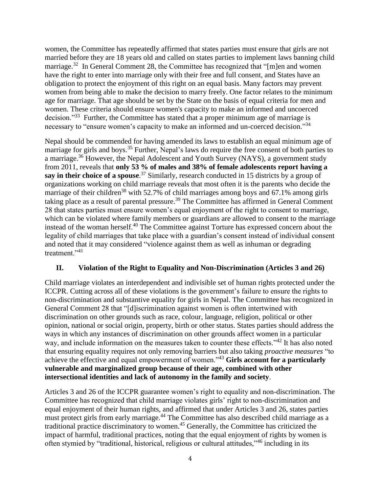women, the Committee has repeatedly affirmed that states parties must ensure that girls are not married before they are 18 years old and called on states parties to implement laws banning child marriage.<sup>32</sup> In General Comment 28, the Committee has recognized that "[m]en and women have the right to enter into marriage only with their free and full consent, and States have an obligation to protect the enjoyment of this right on an equal basis. Many factors may prevent women from being able to make the decision to marry freely. One factor relates to the minimum age for marriage. That age should be set by the State on the basis of equal criteria for men and women. These criteria should ensure women's capacity to make an informed and uncoerced decision."<sup>33</sup> Further, the Committee has stated that a proper minimum age of marriage is necessary to "ensure women's capacity to make an informed and un-coerced decision."<sup>34</sup>

Nepal should be commended for having amended its laws to establish an equal minimum age of marriage for girls and boys.<sup>35</sup> Further, Nepal's laws do require the free consent of both parties to a marriage.<sup>36</sup> However, the Nepal Adolescent and Youth Survey (NAYS), a government study from 2011, reveals that **only 53 % of males and 38% of female adolescents report having a say in their choice of a spouse**. <sup>37</sup> Similarly, research conducted in 15 districts by a group of organizations working on child marriage reveals that most often it is the parents who decide the marriage of their children<sup>38</sup> with 52.7% of child marriages among boys and 67.1% among girls taking place as a result of parental pressure.<sup>39</sup> The Committee has affirmed in General Comment 28 that states parties must ensure women's equal enjoyment of the right to consent to marriage, which can be violated where family members or guardians are allowed to consent to the marriage instead of the woman herself.<sup>40</sup> The Committee against Torture has expressed concern about the legality of child marriages that take place with a guardian's consent instead of individual consent and noted that it may considered "violence against them as well as inhuman or degrading treatment<sup>"41</sup>

# **II. Violation of the Right to Equality and Non-Discrimination (Articles 3 and 26)**

Child marriage violates an interdependent and indivisible set of human rights protected under the ICCPR. Cutting across all of these violations is the government's failure to ensure the rights to non-discrimination and substantive equality for girls in Nepal. The Committee has recognized in General Comment 28 that "[d]iscrimination against women is often intertwined with discrimination on other grounds such as race, colour, language, religion, political or other opinion, national or social origin, property, birth or other status. States parties should address the ways in which any instances of discrimination on other grounds affect women in a particular way, and include information on the measures taken to counter these effects."<sup>42</sup> It has also noted that ensuring equality requires not only removing barriers but also taking *proactive measures* "to achieve the effective and equal empowerment of women."<sup>43</sup> **Girls account for a particularly vulnerable and marginalized group because of their age, combined with other intersectional identities and lack of autonomy in the family and society**.

Articles 3 and 26 of the ICCPR guarantee women's right to equality and non-discrimination. The Committee has recognized that child marriage violates girls' right to non-discrimination and equal enjoyment of their human rights, and affirmed that under Articles 3 and 26, states parties must protect girls from early marriage.<sup>44</sup> The Committee has also described child marriage as a traditional practice discriminatory to women.<sup>45</sup> Generally, the Committee has criticized the impact of harmful, traditional practices, noting that the equal enjoyment of rights by women is often stymied by "traditional, historical, religious or cultural attitudes,"<sup>46</sup> including in its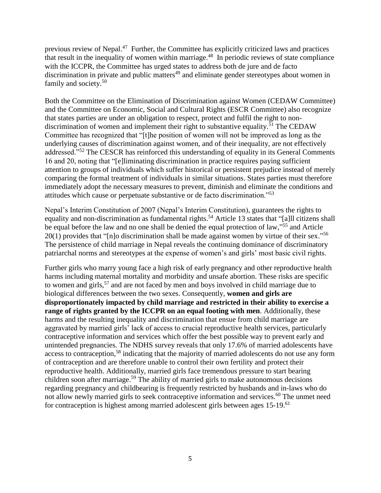previous review of Nepal.<sup>47</sup> Further, the Committee has explicitly criticized laws and practices that result in the inequality of women within marriage.<sup>48</sup> In periodic reviews of state compliance with the ICCPR, the Committee has urged states to address both de jure and de facto discrimination in private and public matters<sup>49</sup> and eliminate gender stereotypes about women in family and society.<sup>50</sup>

Both the Committee on the Elimination of Discrimination against Women (CEDAW Committee) and the Committee on Economic, Social and Cultural Rights (ESCR Committee) also recognize that states parties are under an obligation to respect, protect and fulfil the right to nondiscrimination of women and implement their right to substantive equality.<sup>51</sup> The CEDAW Committee has recognized that "[t]he position of women will not be improved as long as the underlying causes of discrimination against women, and of their inequality, are not effectively addressed."<sup>52</sup> The CESCR has reinforced this understanding of equality in its General Comments 16 and 20, noting that "[e]liminating discrimination in practice requires paying sufficient attention to groups of individuals which suffer historical or persistent prejudice instead of merely comparing the formal treatment of individuals in similar situations. States parties must therefore immediately adopt the necessary measures to prevent, diminish and eliminate the conditions and attitudes which cause or perpetuate substantive or de facto discrimination."<sup>53</sup>

Nepal's Interim Constitution of 2007 (Nepal's Interim Constitution), guarantees the rights to equality and non-discrimination as fundamental rights.<sup>54</sup> Article 13 states that "[a]ll citizens shall be equal before the law and no one shall be denied the equal protection of law,"<sup>55</sup> and Article 20(1) provides that "[n]o discrimination shall be made against women by virtue of their sex."<sup>56</sup> The persistence of child marriage in Nepal reveals the continuing dominance of discriminatory patriarchal norms and stereotypes at the expense of women's and girls' most basic civil rights.

Further girls who marry young face a high risk of early pregnancy and other reproductive health harms including maternal mortality and morbidity and unsafe abortion. These risks are specific to women and girls,<sup>57</sup> and are not faced by men and boys involved in child marriage due to biological differences between the two sexes. Consequently, **women and girls are disproportionately impacted by child marriage and restricted in their ability to exercise a range of rights granted by the ICCPR on an equal footing with men**. Additionally, these harms and the resulting inequality and discrimination that ensue from child marriage are aggravated by married girls' lack of access to crucial reproductive health services, particularly contraceptive information and services which offer the best possible way to prevent early and unintended pregnancies. The NDHS survey reveals that only 17.6% of married adolescents have access to contraception,<sup>58</sup> indicating that the majority of married adolescents do not use any form of contraception and are therefore unable to control their own fertility and protect their reproductive health. Additionally, married girls face tremendous pressure to start bearing children soon after marriage. <sup>59</sup> The ability of married girls to make autonomous decisions regarding pregnancy and childbearing is frequently restricted by husbands and in-laws who do not allow newly married girls to seek contraceptive information and services.<sup>60</sup> The unmet need for contraception is highest among married adolescent girls between ages  $15{\text -}19$ .<sup>61</sup>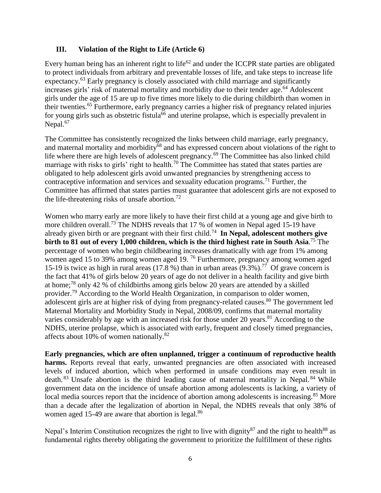#### **III. Violation of the Right to Life (Article 6)**

Every human being has an inherent right to life<sup>62</sup> and under the ICCPR state parties are obligated to protect individuals from arbitrary and preventable losses of life, and take steps to increase life expectancy.<sup>63</sup> Early pregnancy is closely associated with child marriage and significantly increases girls' risk of maternal mortality and morbidity due to their tender age. <sup>64</sup> Adolescent girls under the age of 15 are up to five times more likely to die during childbirth than women in their twenties. <sup>65</sup> Furthermore, early pregnancy carries a higher risk of pregnancy related injuries for young girls such as obstetric fistula<sup>66</sup> and uterine prolapse, which is especially prevalent in Nepal.<sup>67</sup>

The Committee has consistently recognized the links between child marriage, early pregnancy, and maternal mortality and morbidity<sup>68</sup> and has expressed concern about violations of the right to life where there are high levels of adolescent pregnancy.<sup>69</sup> The Committee has also linked child marriage with risks to girls' right to health.<sup>70</sup> The Committee has stated that states parties are obligated to help adolescent girls avoid unwanted pregnancies by strengthening access to contraceptive information and services and sexuality education programs.<sup>71</sup> Further, the Committee has affirmed that states parties must guarantee that adolescent girls are not exposed to the life-threatening risks of unsafe abortion.<sup>72</sup>

Women who marry early are more likely to have their first child at a young age and give birth to more children overall.<sup>73</sup> The NDHS reveals that 17 % of women in Nepal aged 15-19 have already given birth or are pregnant with their first child.<sup>74</sup> **In Nepal, adolescent mothers give birth to 81 out of every 1,000 children, which is the third highest rate in South Asia**. <sup>75</sup> The percentage of women who begin childbearing increases dramatically with age from 1% among women aged 15 to 39% among women aged 19. <sup>76</sup> Furthermore, pregnancy among women aged 15-19 is twice as high in rural areas (17.8 %) than in urban areas  $(9.3\%)$ .<sup>77</sup> Of grave concern is the fact that 41% of girls below 20 years of age do not deliver in a health facility and give birth at home;<sup>78</sup> only 42 % of childbirths among girls below 20 years are attended by a skilled provider.<sup>79</sup> According to the World Health Organization, in comparison to older women, adolescent girls are at higher risk of dying from pregnancy-related causes. <sup>80</sup> The government led Maternal Mortality and Morbidity Study in Nepal, 2008/09, confirms that maternal mortality varies considerably by age with an increased risk for those under 20 years.<sup>81</sup> According to the NDHS, uterine prolapse, which is associated with early, frequent and closely timed pregnancies, affects about 10% of women nationally. $82$ 

**Early pregnancies, which are often unplanned, trigger a continuum of reproductive health**  harms. Reports reveal that early, unwanted pregnancies are often associated with increased levels of induced abortion, which when performed in unsafe conditions may even result in death.<sup>83</sup> Unsafe abortion is the third leading cause of maternal mortality in Nepal.<sup>84</sup> While government data on the incidence of unsafe abortion among adolescents is lacking, a variety of local media sources report that the incidence of abortion among adolescents is increasing.<sup>85</sup> More than a decade after the legalization of abortion in Nepal, the NDHS reveals that only 38% of women aged 15-49 are aware that abortion is legal.<sup>86</sup>

Nepal's Interim Constitution recognizes the right to live with dignity<sup>87</sup> and the right to health<sup>88</sup> as fundamental rights thereby obligating the government to prioritize the fulfillment of these rights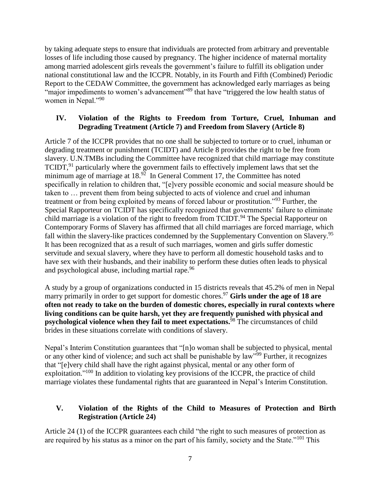by taking adequate steps to ensure that individuals are protected from arbitrary and preventable losses of life including those caused by pregnancy. The higher incidence of maternal mortality among married adolescent girls reveals the government's failure to fulfill its obligation under national constitutional law and the ICCPR. Notably, in its Fourth and Fifth (Combined) Periodic Report to the CEDAW Committee, the government has acknowledged early marriages as being "major impediments to women's advancement"<sup>89</sup> that have "triggered the low health status of women in Nepal."<sup>90</sup>

# **IV. Violation of the Rights to Freedom from Torture, Cruel, Inhuman and Degrading Treatment (Article 7) and Freedom from Slavery (Article 8)**

Article 7 of the ICCPR provides that no one shall be subjected to torture or to cruel, inhuman or degrading treatment or punishment (TCIDT) and Article 8 provides the right to be free from slavery. U.N.TMBs including the Committee have recognized that child marriage may constitute TCIDT,<sup>91</sup> particularly where the government fails to effectively implement laws that set the minimum age of marriage at  $18.92$  In General Comment 17, the Committee has noted specifically in relation to children that, "[e]very possible economic and social measure should be taken to … prevent them from being subjected to acts of violence and cruel and inhuman treatment or from being exploited by means of forced labour or prostitution."<sup>93</sup> Further, the Special Rapporteur on TCIDT has specifically recognized that governments' failure to eliminate child marriage is a violation of the right to freedom from TCIDT.<sup>94</sup> The Special Rapporteur on Contemporary Forms of Slavery has affirmed that all child marriages are forced marriage, which fall within the slavery-like practices condemned by the Supplementary Convention on Slavery.<sup>95</sup> It has been recognized that as a result of such marriages, women and girls suffer domestic servitude and sexual slavery, where they have to perform all domestic household tasks and to have sex with their husbands, and their inability to perform these duties often leads to physical and psychological abuse, including martial rape.<sup>96</sup>

A study by a group of organizations conducted in 15 districts reveals that 45.2% of men in Nepal marry primarily in order to get support for domestic chores. <sup>97</sup> **Girls under the age of 18 are often not ready to take on the burden of domestic chores, especially in rural contexts where living conditions can be quite harsh, yet they are frequently punished with physical and psychological violence when they fail to meet expectations.** <sup>98</sup> The circumstances of child brides in these situations correlate with conditions of slavery.

Nepal's Interim Constitution guarantees that "[n]o woman shall be subjected to physical, mental or any other kind of violence; and such act shall be punishable by law<sup>599</sup> Further, it recognizes that "[e]very child shall have the right against physical, mental or any other form of exploitation."<sup>100</sup> In addition to violating key provisions of the ICCPR, the practice of child marriage violates these fundamental rights that are guaranteed in Nepal's Interim Constitution.

# **V. Violation of the Rights of the Child to Measures of Protection and Birth Registration (Article 24)**

Article 24 (1) of the ICCPR guarantees each child "the right to such measures of protection as are required by his status as a minor on the part of his family, society and the State."<sup>101</sup> This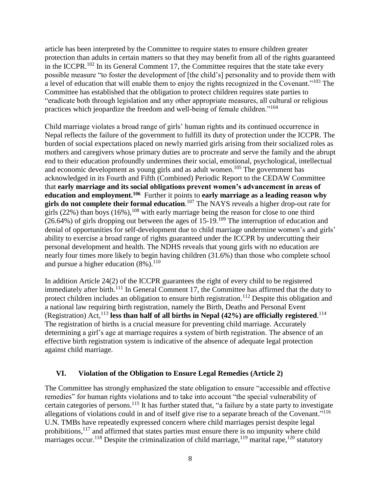article has been interpreted by the Committee to require states to ensure children greater protection than adults in certain matters so that they may benefit from all of the rights guaranteed in the ICCPR.<sup>102</sup> In its General Comment 17, the Committee requires that the state take every possible measure "to foster the development of [the child's] personality and to provide them with a level of education that will enable them to enjoy the rights recognized in the Covenant."<sup>103</sup> The Committee has established that the obligation to protect children requires state parties to "eradicate both through legislation and any other appropriate measures, all cultural or religious practices which jeopardize the freedom and well-being of female children."<sup>104</sup>

Child marriage violates a broad range of girls' human rights and its continued occurrence in Nepal reflects the failure of the government to fulfill its duty of protection under the ICCPR. The burden of social expectations placed on newly married girls arising from their socialized roles as mothers and caregivers whose primary duties are to procreate and serve the family and the abrupt end to their education profoundly undermines their social, emotional, psychological, intellectual and economic development as young girls and as adult women. <sup>105</sup> The government has acknowledged in its Fourth and Fifth (Combined) Periodic Report to the CEDAW Committee that **early marriage and its social obligations prevent women's advancement in areas of education and employment.<sup>106</sup>** Further it points to **early marriage as a leading reason why girls do not complete their formal education**. <sup>107</sup> The NAYS reveals a higher drop-out rate for girls  $(22%)$  than boys  $(16%)$ ,  $^{108}$  with early marriage being the reason for close to one third  $(26.64%)$  of girls dropping out between the ages of 15-19.<sup>109</sup> The interruption of education and denial of opportunities for self-development due to child marriage undermine women's and girls' ability to exercise a broad range of rights guaranteed under the ICCPR by undercutting their personal development and health. The NDHS reveals that young girls with no education are nearly four times more likely to begin having children (31.6%) than those who complete school and pursue a higher education  $(8\%)$ .<sup>110</sup>

In addition Article 24(2) of the ICCPR guarantees the right of every child to be registered immediately after birth.<sup>111</sup> In General Comment 17, the Committee has affirmed that the duty to protect children includes an obligation to ensure birth registration.<sup>112</sup> Despite this obligation and a national law requiring birth registration, namely the Birth, Deaths and Personal Event (Registration) Act, <sup>113</sup> **less than half of all births in Nepal (42%) are officially registered**. 114 The registration of births is a crucial measure for preventing child marriage. Accurately determining a girl's age at marriage requires a system of birth registration. The absence of an effective birth registration system is indicative of the absence of adequate legal protection against child marriage.

# **VI. Violation of the Obligation to Ensure Legal Remedies (Article 2)**

The Committee has strongly emphasized the state obligation to ensure "accessible and effective remedies" for human rights violations and to take into account "the special vulnerability of certain categories of persons.<sup>115</sup> It has further stated that, "a failure by a state party to investigate allegations of violations could in and of itself give rise to a separate breach of the Covenant."<sup>116</sup> U.N. TMBs have repeatedly expressed concern where child marriages persist despite legal prohibitions,<sup>117</sup> and affirmed that states parties must ensure there is no impunity where child marriages occur.<sup>118</sup> Despite the criminalization of child marriage,<sup>119</sup> marital rape,<sup>120</sup> statutory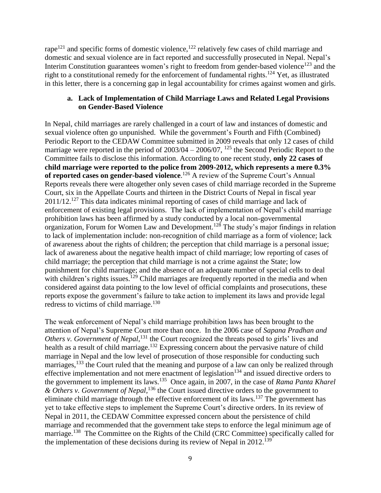rape<sup>121</sup> and specific forms of domestic violence,<sup>122</sup> relatively few cases of child marriage and domestic and sexual violence are in fact reported and successfully prosecuted in Nepal. Nepal's Interim Constitution guarantees women's right to freedom from gender-based violence<sup>123</sup> and the right to a constitutional remedy for the enforcement of fundamental rights.<sup>124</sup> Yet, as illustrated in this letter, there is a concerning gap in legal accountability for crimes against women and girls.

#### **a. Lack of Implementation of Child Marriage Laws and Related Legal Provisions on Gender-Based Violence**

In Nepal, child marriages are rarely challenged in a court of law and instances of domestic and sexual violence often go unpunished. While the government's Fourth and Fifth (Combined) Periodic Report to the CEDAW Committee submitted in 2009 reveals that only 12 cases of child marriage were reported in the period of  $2003/04 - 2006/07$ ,  $125$  the Second Periodic Report to the Committee fails to disclose this information. According to one recent study, **only 22 cases of child marriage were reported to the police from 2009-2012, which represents a mere 0.3%**  of reported cases on gender-based violence.<sup>126</sup> A review of the Supreme Court's Annual Reports reveals there were altogether only seven cases of child marriage recorded in the Supreme Court, six in the Appellate Courts and thirteen in the District Courts of Nepal in fiscal year 2011/12.<sup>127</sup> This data indicates minimal reporting of cases of child marriage and lack of enforcement of existing legal provisions. The lack of implementation of Nepal's child marriage prohibition laws has been affirmed by a study conducted by a local non-governmental organization, Forum for Women Law and Development.<sup>128</sup> The study's major findings in relation to lack of implementation include: non-recognition of child marriage as a form of violence; lack of awareness about the rights of children; the perception that child marriage is a personal issue; lack of awareness about the negative health impact of child marriage; low reporting of cases of child marriage; the perception that child marriage is not a crime against the State; low punishment for child marriage; and the absence of an adequate number of special cells to deal with children's rights issues.<sup>129</sup> Child marriages are frequently reported in the media and when considered against data pointing to the low level of official complaints and prosecutions, these reports expose the government's failure to take action to implement its laws and provide legal redress to victims of child marriage. $130$ 

The weak enforcement of Nepal's child marriage prohibition laws has been brought to the attention of Nepal's Supreme Court more than once. In the 2006 case of *Sapana Pradhan and Others v. Government of Nepal*, <sup>131</sup> the Court recognized the threats posed to girls' lives and health as a result of child marriage.<sup>132</sup> Expressing concern about the pervasive nature of child marriage in Nepal and the low level of prosecution of those responsible for conducting such marriages,<sup>133</sup> the Court ruled that the meaning and purpose of a law can only be realized through effective implementation and not mere enactment of legislation<sup>134</sup> and issued directive orders to the government to implement its laws.<sup>135</sup> Once again, in 2007, in the case of *Rama Panta Kharel & Others v. Government of Nepal,* <sup>136</sup> the Court issued directive orders to the government to eliminate child marriage through the effective enforcement of its laws.<sup>137</sup> The government has yet to take effective steps to implement the Supreme Court's directive orders. In its review of Nepal in 2011, the CEDAW Committee expressed concern about the persistence of child marriage and recommended that the government take steps to enforce the legal minimum age of marriage.<sup>138</sup> The Committee on the Rights of the Child (CRC Committee) specifically called for the implementation of these decisions during its review of Nepal in 2012.<sup>139</sup>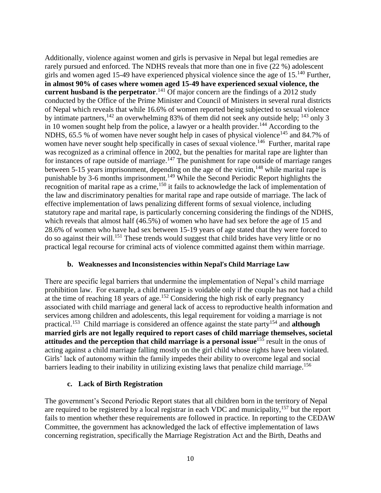Additionally, violence against women and girls is pervasive in Nepal but legal remedies are rarely pursued and enforced. The NDHS reveals that more than one in five (22 %) adolescent girls and women aged 15-49 have experienced physical violence since the age of  $15^{140}$  Further, **in almost 90% of cases where women aged 15-49 have experienced sexual violence, the current husband is the perpetrator**. <sup>141</sup> Of major concern are the findings of a 2012 study conducted by the Office of the Prime Minister and Council of Ministers in several rural districts of Nepal which reveals that while 16.6% of women reported being subjected to sexual violence by intimate partners,  $^{142}$  an overwhelming 83% of them did not seek any outside help;  $^{143}$  only 3 in 10 women sought help from the police, a lawyer or a health provider.<sup>144</sup> According to the NDHS, 65.5 % of women have never sought help in cases of physical violence<sup>145</sup> and 84.7% of women have never sought help specifically in cases of sexual violence.<sup>146</sup> Further, marital rape was recognized as a criminal offence in 2002, but the penalties for marital rape are lighter than for instances of rape outside of marriage.<sup>147</sup> The punishment for rape outside of marriage ranges between 5-15 years imprisonment, depending on the age of the victim,<sup>148</sup> while marital rape is punishable by 3-6 months imprisonment.<sup>149</sup> While the Second Periodic Report highlights the recognition of marital rape as a crime,<sup>150</sup> it fails to acknowledge the lack of implementation of the law and discriminatory penalties for marital rape and rape outside of marriage. The lack of effective implementation of laws penalizing different forms of sexual violence, including statutory rape and marital rape, is particularly concerning considering the findings of the NDHS, which reveals that almost half (46.5%) of women who have had sex before the age of 15 and 28.6% of women who have had sex between 15-19 years of age stated that they were forced to do so against their will.<sup>151</sup> These trends would suggest that child brides have very little or no practical legal recourse for criminal acts of violence committed against them within marriage.

#### **b. Weaknesses and Inconsistencies within Nepal's Child Marriage Law**

There are specific legal barriers that undermine the implementation of Nepal's child marriage prohibition law. For example, a child marriage is voidable only if the couple has not had a child at the time of reaching 18 years of age. <sup>152</sup> Considering the high risk of early pregnancy associated with child marriage and general lack of access to reproductive health information and services among children and adolescents, this legal requirement for voiding a marriage is not practical.<sup>153</sup> Child marriage is considered an offence against the state party<sup>154</sup> and **although married girls are not legally required to report cases of child marriage themselves, societal attitudes and the perception that child marriage is a personal issue**<sup>155</sup> result in the onus of acting against a child marriage falling mostly on the girl child whose rights have been violated. Girls' lack of autonomy within the family impedes their ability to overcome legal and social barriers leading to their inability in utilizing existing laws that penalize child marriage.<sup>156</sup>

#### **c. Lack of Birth Registration**

The government's Second Periodic Report states that all children born in the territory of Nepal are required to be registered by a local registrar in each VDC and municipality,<sup>157</sup> but the report fails to mention whether these requirements are followed in practice. In reporting to the CEDAW Committee, the government has acknowledged the lack of effective implementation of laws concerning registration, specifically the Marriage Registration Act and the Birth, Deaths and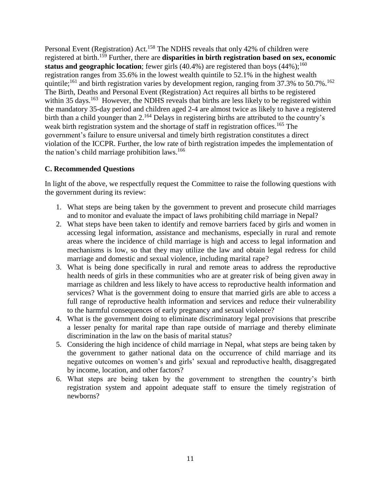Personal Event (Registration) Act.<sup>158</sup> The NDHS reveals that only 42% of children were registered at birth.<sup>159</sup> Further, there are **disparities in birth registration based on sex, economic status and geographic location**; fewer girls (40.4%) are registered than boys (44%); 160 registration ranges from 35.6% in the lowest wealth quintile to 52.1% in the highest wealth quintile;<sup>161</sup> and birth registration varies by development region, ranging from 37.3% to 50.7%.<sup>162</sup> The Birth, Deaths and Personal Event (Registration) Act requires all births to be registered within 35 days.<sup>163</sup> However, the NDHS reveals that births are less likely to be registered within the mandatory 35-day period and children aged 2-4 are almost twice as likely to have a registered birth than a child younger than 2.<sup>164</sup> Delays in registering births are attributed to the country's weak birth registration system and the shortage of staff in registration offices.<sup>165</sup> The government's failure to ensure universal and timely birth registration constitutes a direct violation of the ICCPR. Further, the low rate of birth registration impedes the implementation of the nation's child marriage prohibition laws. $166$ 

#### **C. Recommended Questions**

In light of the above, we respectfully request the Committee to raise the following questions with the government during its review:

- 1. What steps are being taken by the government to prevent and prosecute child marriages and to monitor and evaluate the impact of laws prohibiting child marriage in Nepal?
- 2. What steps have been taken to identify and remove barriers faced by girls and women in accessing legal information, assistance and mechanisms, especially in rural and remote areas where the incidence of child marriage is high and access to legal information and mechanisms is low, so that they may utilize the law and obtain legal redress for child marriage and domestic and sexual violence, including marital rape?
- 3. What is being done specifically in rural and remote areas to address the reproductive health needs of girls in these communities who are at greater risk of being given away in marriage as children and less likely to have access to reproductive health information and services? What is the government doing to ensure that married girls are able to access a full range of reproductive health information and services and reduce their vulnerability to the harmful consequences of early pregnancy and sexual violence?
- 4. What is the government doing to eliminate discriminatory legal provisions that prescribe a lesser penalty for marital rape than rape outside of marriage and thereby eliminate discrimination in the law on the basis of marital status?
- 5. Considering the high incidence of child marriage in Nepal, what steps are being taken by the government to gather national data on the occurrence of child marriage and its negative outcomes on women's and girls' sexual and reproductive health, disaggregated by income, location, and other factors?
- 6. What steps are being taken by the government to strengthen the country's birth registration system and appoint adequate staff to ensure the timely registration of newborns?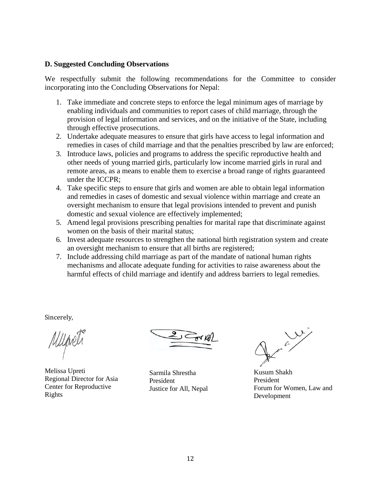#### **D. Suggested Concluding Observations**

We respectfully submit the following recommendations for the Committee to consider incorporating into the Concluding Observations for Nepal:

- 1. Take immediate and concrete steps to enforce the legal minimum ages of marriage by enabling individuals and communities to report cases of child marriage, through the provision of legal information and services, and on the initiative of the State, including through effective prosecutions.
- 2. Undertake adequate measures to ensure that girls have access to legal information and remedies in cases of child marriage and that the penalties prescribed by law are enforced;
- 3. Introduce laws, policies and programs to address the specific reproductive health and other needs of young married girls, particularly low income married girls in rural and remote areas, as a means to enable them to exercise a broad range of rights guaranteed under the ICCPR;
- 4. Take specific steps to ensure that girls and women are able to obtain legal information and remedies in cases of domestic and sexual violence within marriage and create an oversight mechanism to ensure that legal provisions intended to prevent and punish domestic and sexual violence are effectively implemented;
- 5. Amend legal provisions prescribing penalties for marital rape that discriminate against women on the basis of their marital status;
- 6. Invest adequate resources to strengthen the national birth registration system and create an oversight mechanism to ensure that all births are registered;
- 7. Include addressing child marriage as part of the mandate of national human rights mechanisms and allocate adequate funding for activities to raise awareness about the harmful effects of child marriage and identify and address barriers to legal remedies.

Sincerely,

Melissa Upreti Regional Director for Asia Center for Reproductive Rights

Sarmila Shrestha President Justice for All, Nepal

Kusum Shakh President Forum for Women, Law and Development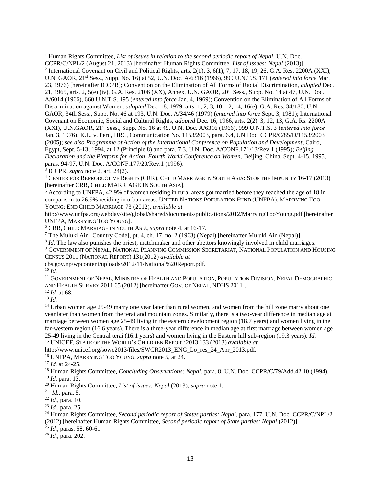<sup>4</sup> CENTER FOR REPRODUCTIVE RIGHTS (CRR), CHILD MARRIAGE IN SOUTH ASIA: STOP THE IMPUNITY 16-17 (2013) [hereinafter CRR, CHILD MARRIAGE IN SOUTH ASIA].

<sup>5</sup> According to UNFPA, 42.9% of women residing in rural areas got married before they reached the age of 18 in comparison to 26.9% residing in urban areas. UNITED NATIONS POPULATION FUND (UNFPA), MARRYING TOO YOUNG: END CHILD MARRIAGE 73 (2012), *available at*

http://www.unfpa.org/webdav/site/global/shared/documents/publications/2012/MarryingTooYoung.pdf [hereinafter UNFPA, MARRYING TOO YOUNG].

<sup>6</sup> CRR, CHILD MARRIAGE IN SOUTH ASIA, *supra* note 4, at 16-17.

<sup>7</sup> The Muluki Ain [Country Code], pt. 4, ch. 17, no. 2 (1963) (Nepal) [hereinafter Muluki Ain (Nepal)].

<sup>8</sup> *Id.* The law also punishes the priest, matchmaker and other abettors knowingly involved in child marriages.

<sup>9</sup> GOVERNMENT OF NEPAL, NATIONAL PLANNING COMMISSION SECRETARIAT, NATIONAL POPULATION AND HOUSING CENSUS 2011 (NATIONAL REPORT) 131(2012) *available at* 

cbs.gov.np/wpcontent/uploads/2012/11/National%20Report.pdf.

 $10$  *Id.* 

l

<sup>11</sup> GOVERNMENT OF NEPAL, MINISTRY OF HEALTH AND POPULATION, POPULATION DIVISION, NEPAL DEMOGRAPHIC AND HEALTH SURVEY 2011 65 (2012) [hereinafter GOV. OF NEPAL, NDHS 2011].

<sup>12</sup> *Id.* at 68.

 $13$  *Id.* 

<sup>14</sup> Urban women age 25-49 marry one year later than rural women, and women from the hill zone marry about one year later than women from the terai and mountain zones. Similarly, there is a two-year difference in median age at marriage between women age 25-49 living in the eastern development region (18.7 years) and women living in the far-western region (16.6 years). There is a three-year difference in median age at first marriage between women age 25-49 living in the Central terai (16.1 years) and women living in the Eastern hill sub-region (19.3 years). *Id.*  <sup>15</sup> UNICEF, STATE OF THE WORLD'S CHILDREN REPORT 2013 133 (2013) *available at* 

http://www.unicef.org/sowc2013/files/SWCR2013\_ENG\_Lo\_res\_24\_Apr\_2013.pdf.

<sup>16</sup> UNFPA, MARRYING TOO YOUNG, *supra* note 5, at 24.

<sup>18</sup> Human Rights Committee, *Concluding Observations: Nepal,* para. 8, U.N. Doc. CCPR/C/79/Add.42 10 (1994). <sup>19</sup> *Id*, para. 13.

<sup>20</sup> Human Rights Committee, *List of issues: Nepal* (2013), *supra* note 1.

<sup>22</sup> *Id.*, para. 10.

<sup>23</sup> *Id.*, para. 25.

<sup>24</sup> Human Rights Committee, *Second periodic report of States parties: Nepal*, para. 177, U.N. Doc. CCPR/C/NPL/2 (2012) [hereinafter Human Rights Committee, *Second periodic report of State parties: Nepal* (2012)].

<sup>25</sup> *Id.*, paras. 58, 60-61.

<sup>26</sup> *Id.*, para. 202.

<sup>1</sup> Human Rights Committee, *List of issues in relation to the second periodic report of Nepal*, U.N. Doc.

CCPR/C/NPL/2 (August 21, 2013) [hereinafter Human Rights Committee, *List of issues: Nepal* (2013)]. <sup>2</sup> International Covenant on Civil and Political Rights, arts.  $2(1)$ ,  $3$ ,  $6(1)$ ,  $7$ ,  $17$ ,  $18$ ,  $19$ ,  $26$ ,  $G.A.$  Res.  $2200A (XXI)$ , U.N. GAOR, 21st Sess., Supp. No. 16) at 52, U.N. Doc. A/6316 (1966), 999 U.N.T.S. 171 (*entered into force* Mar. 23, 1976) [hereinafter ICCPR]; Convention on the Elimination of All Forms of Racial Discrimination, *adopted* Dec. 21, 1965, arts. 2, 5(e) (iv), G.A. Res. 2106 (XX), Annex, U.N. GAOR, 20th Sess., Supp. No. 14 at 47, U.N. Doc. A/6014 (1966), 660 U.N.T.S. 195 (*entered into force* Jan. 4, 1969); Convention on the Elimination of All Forms of Discrimination against Women, *adopted* Dec. 18, 1979, arts. 1, 2, 3, 10, 12, 14, 16(e), G.A. Res. 34/180, U.N. GAOR, 34th Sess., Supp. No. 46 at 193, U.N. Doc. A/34/46 (1979) (*entered into force* Sept. 3, 1981); International Covenant on Economic, Social and Cultural Rights, *adopted* Dec. 16, 1966, arts. 2(2), 3, 12, 13, G.A. Rs. 2200A (XXI), U.N.GAOR, 21st Sess., Supp. No. 16 at 49, U.N. Doc. A/6316 (1966), 999 U.N.T.S. 3 (*entered into force* Jan. 3, 1976); K.L. v. Peru, HRC, Communication No. 1153/2003, para. 6.4, UN Doc. CCPR/C/85/D/1153/2003 (2005); *see also Programme of Action of the International Conference on Population and Development*, Cairo, Egypt, Sept. 5-13, 1994, at 12 (Principle 8) and para. 7.3, U.N. Doc. A/CONF.171/13/Rev.1 (1995); *Beijing Declaration and the Platform for Action, Fourth World Conference on Women*, Beijing, China, Sept. 4-15, 1995, paras. 94-97, U.N. Doc. A/CONF.177/20/Rev.1 (1996).

<sup>3</sup> ICCPR, *supra* note 2, art. 24(2).

<sup>17</sup> *Id.* at 24-25.

<sup>21</sup> *Id.*, para. 5.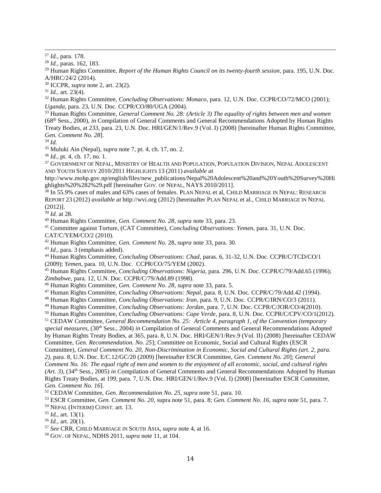<sup>27</sup> *Id.*, para. 178.

l

<sup>29</sup> Human Rights Committee, *Report of the Human Rights Council on its twenty-fourth session,* para. 195, U.N. Doc. A/HRC/24/2 (2014).

<sup>30</sup> ICCPR, *supra* note 2, art. 23(2).

 $31$  *Id.*, art. 23(4).

<sup>32</sup> Human Rights Committee, *Concluding Observations: Monaco*, para. 12, U.N. Doc. CCPR/CO/72/MCO (2001); *Uganda*, para. 23, U.N. Doc. CCPR/CO/80/UGA (2004).

<sup>33</sup> Human Rights Committee, *General Comment No. 28: (Article 3) The equality of rights between men and women*  (68th Sess., 2000), *in* Compilation of General Comments and General Recommendations Adopted by Human Rights Treaty Bodies, at 233, para. 23, U.N. Doc. HRI/GEN/1/Rev.9 (Vol. I) (2008) [hereinafter Human Rights Committee, *Gen. Comment No. 28*].

 $34$  *Id.* 

<sup>35</sup> Muluki Ain (Nepal), *supra* note 7, pt. 4, ch. 17, no. 2.

<sup>36</sup> *Id.*, pt. 4, ch. 17, no. 1.

<sup>37</sup> GOVERNMENT OF NEPAL, MINISTRY OF HEALTH AND POPULATION, POPULATION DIVISION, NEPAL ADOLESCENT AND YOUTH SURVEY 2010/2011 HIGHLIGHTS 13 (2011) *available at* 

http://www.mohp.gov.np/english/files/new\_publications/Nepal%20Adolescent%20and%20Youth%20Survey%20Hi ghlights%20%282%29.pdf [hereinafter GOV. OF NEPAL, NAYS 2010/2011].

<sup>38</sup> In 55.9% cases of males and 63% cases of females. PLAN NEPAL et al, CHILD MARRIAGE IN NEPAL: RESEARCH REPORT 23 (2012) *available at* http://wvi.org (2012) [hereinafter PLAN NEPAL et al., CHILD MARRIAGE IN NEPAL (2012)].

<sup>39</sup> *Id.* at 28.

<sup>40</sup> Human Rights Committee, *Gen. Comment No. 28*, *supra* note 33, para. 23.

<sup>41</sup> Committee against Torture, (CAT Committee), *Concluding Observations: Yemen*, para. 31, U.N. Doc. CAT/C/YEM/CO/2 (2010).

<sup>42</sup> Human Rights Committee, *Gen. Comment No.* 28, *supra* note 33, para. 30.

<sup>43</sup> *Id*., para. 3 (emphasis added).

<sup>44</sup> Human Rights Committee, *Concluding Observations: Chad*, paras. 6, 31-32, U.N. Doc. CCPR/C/TCD/CO/1 (2009); *Yemen*, para. 10, U.N. Doc. CCPR/CO/75/YEM (2002).

<sup>45</sup> Human Rights Committee, *Concluding Observations: Nigeria*, para. 296, U.N. Doc. CCPR/C/79/Add.65 (1996); *Zimbabwe*, para. 12, U.N. Doc. CCPR/C/79/Add.89 (1998).

<sup>46</sup> Human Rights Committee, *Gen. Comment No. 28*, *supra* note 33, para. 5.

<sup>47</sup> Human Rights Committee, *Concluding Observations: Nepal*, para. 8, U.N. Doc. CCPR/C/79/Add.42 (1994).

<sup>48</sup> Human Rights Committee, *Concluding Observations: Iran*, para. 9, U.N. Doc. CCPR/C/IRN/CO/3 (2011).

<sup>49</sup> Human Rights Committee, *Concluding Observations: Jordan*, para. 7, U.N. Doc. CCPR/C/JOR/CO/4(2010).

<sup>50</sup> Human Rights Committee, *Concluding Observations: Cape Verde*, para. 8, U.N. Doc. CCPR/C/CPV/CO/1(2012).

<sup>51</sup> CEDAW Committee, *General Recommendation No. 25: Article 4, paragraph 1, of the Convention (temporary special measures,* (30th Sess., 2004) *in* Compilation of General Comments and General Recommendations Adopted by Human Rights Treaty Bodies, at 365, para. 8, U.N. Doc. HRI/GEN/1/Rev.9 (Vol. II) (2008) [hereinafter CEDAW Committee, *Gen. Recommendation. No. 25*]; Committee on Economic, Social and Cultural Rights (ESCR Committee), *General Comment No. 20, Non-Discrimination in Economic, Social and Cultural Rights (art. 2, para.* 

*2)*, para. 8, U.N. Doc. E/C.12/GC/20 (2009) [hereinafter ESCR Committee, *Gen. Comment No. 20*]; *General Comment No. 16: The equal right of men and women to the enjoyment of all economic, social, and cultural rights (Art. 3),* (34th Sess., 2005) *in* Compilation of General Comments and General Recommendations Adopted by Human Rights Treaty Bodies, at 199, para. 7, U.N. Doc. HRI/GEN/1/Rev.9 (Vol. I) (2008) [hereinafter ESCR Committee, *Gen. Comment No. 16*]*.*

<sup>52</sup> CEDAW Committee, *Gen. Recommendation No. 25, supra* note 51, para. 10.

<sup>53</sup> ESCR Committee, *Gen. Comment No. 20,* supra note 51, para. 8; *Gen. Comment No. 16*, *supra* note 51, para. 7.

<sup>54</sup> NEPAL (INTERIM) CONST. art. 13.

<sup>55</sup> *Id.*, art. 13(1).

<sup>56</sup> *Id.*, art. 20(1).

<sup>57</sup> *See* CRR, CHILD MARRIAGE IN SOUTH ASIA, *supra* note 4, at 16.

<sup>58</sup> GOV. OF NEPAL, NDHS 2011, *supra* note 11, at 104.

<sup>28</sup> *Id.*, paras. 162, 183.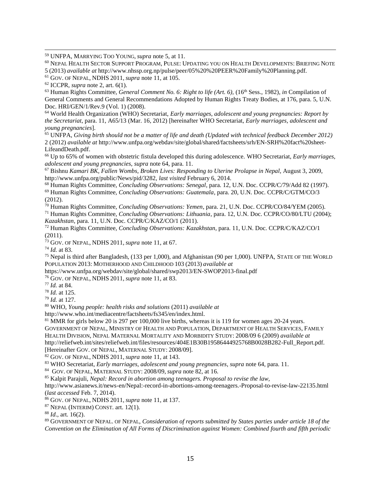<sup>59</sup> UNFPA, MARRYING TOO YOUNG, *supra* note 5, at 11.

<sup>60</sup> NEPAL HEALTH SECTOR SUPPORT PROGRAM, PULSE: UPDATING YOU ON HEALTH DEVELOPMENTS: BRIEFING NOTE 5 (2013) *available at* http://www.nhssp.org.np/pulse/peer/05%20%20PEER%20Family%20Planning.pdf.

l

<sup>63</sup> Human Rights Committee, *General Comment No. 6: Right to life (Art. 6),* (16th Sess., 1982), *in* Compilation of General Comments and General Recommendations Adopted by Human Rights Treaty Bodies, at 176, para. 5, U.N. Doc. HRI/GEN/1/Rev.9 (Vol. 1) (2008).

<sup>64</sup> World Health Organization (WHO) Secretariat, *Early marriages, adolescent and young pregnancies: Report by the Secretariat*, para. 11, A65/13 (Mar. 16, 2012) [hereinafter WHO Secretariat, *Early marriages, adolescent and young pregnancies*].

<sup>65</sup> UNFPA, *Giving birth should not be a matter of life and death (Updated with technical feedback December 2012)*  2 (2012) *available at* http://www.unfpa.org/webdav/site/global/shared/factsheets/srh/EN-SRH%20fact%20sheet-LifeandDeath.pdf.

<sup>66</sup> Up to 65% of women with obstetric fistula developed this during adolescence. WHO Secretariat, *Early marriages, adolescent and young pregnancies*, *supra* note 64, para. 11.

<sup>67</sup> Bishnu *Kamari BK, Fallen Wombs, Broken Lives: Responding to Uterine Prolapse in Nepal,* August 3, 2009, http://www.unfpa.org/public/News/pid/3282, *last visited* February 6, 2014.

<sup>68</sup> Human Rights Committee, *Concluding Observations: Senegal,* para. 12, U.N. Doc. CCPR/C/79/Add 82 (1997). <sup>69</sup> Human Rights Committee, *Concluding Observations: Guatemala*, para. 20, U.N. Doc. CCPR/C/GTM/CO/3

(2012).

<sup>70</sup> Human Rights Committee, *Concluding Observations: Yemen*, para. 21, U.N. Doc. CCPR/CO/84/YEM (2005).

<sup>71</sup> Human Rights Committee, *Concluding Observations: Lithuania*, para. 12, U.N. Doc. CCPR/CO/80/LTU (2004); *Kazakhstan*, para. 11, U.N. Doc. CCPR/C/KAZ/CO/1 (2011).

<sup>72</sup> Human Rights Committee, *Concluding Observations: Kazakhstan*, para. 11, U.N. Doc. CCPR/C/KAZ/CO/1 (2011).

<sup>73</sup> GOV. OF NEPAL, NDHS 2011, *supra* note 11, at 67.

<sup>74</sup> *Id.* at 83.

<sup>75</sup> Nepal is third after Bangladesh, (133 per 1,000), and Afghanistan (90 per 1,000). UNFPA, STATE OF THE WORLD POPULATION 2013: MOTHERHOOD AND CHILDHOOD 103 (2013) *available at* 

https://www.unfpa.org/webdav/site/global/shared/swp2013/EN-SWOP2013-final.pdf

<sup>76</sup> GOV. OF NEPAL, NDHS 2011, *supra* note 11, at 83.

<sup>77</sup> *Id.* at 84.

<sup>78</sup> *Id.* at 125.

<sup>79</sup> *Id.* at 127.

<sup>80</sup> WHO, *Young people: health risks and solutions* (2011) *available at* 

http://www.who.int/mediacentre/factsheets/fs345/en/index.html.

<sup>81</sup> MMR for girls below 20 is 297 per 100,000 live births, whereas it is 119 for women ages 20-24 years. GOVERNMENT OF NEPAL, MINISTRY OF HEALTH AND POPULATION, DEPARTMENT OF HEALTH SERVICES, FAMILY HEALTH DIVISION, NEPAL MATERNAL MORTALITY AND MORBIDITY STUDY: 2008/09 6 (2009) *available at*  http://reliefweb.int/sites/reliefweb.int/files/resources/404E1B30B19586444925768B0028B282-Full\_Report.pdf. [Hereinafter GOV. OF NEPAL, MATERNAL STUDY: 2008/09].

<sup>82</sup> GOV. OF NEPAL, NDHS 2011, *supra* note 11, at 143.

<sup>83</sup> WHO Secretariat, *Early marriages, adolescent and young pregnancies*, *supra* note 64, para. 11.

84 GOV. OF NEPAL, MATERNAL STUDY: 2008/09, *supra* note 82, at 16.

<sup>85</sup> Kalpit Parajuli, *Nepal: Record in abortion among teenagers. Proposal to revise the law,* 

http://www.asianews.it/news-en/Nepal:-record-in-abortions-among-teenagers.-Proposal-to-revise-law-22135.html (*last accessed* Feb. 7, 2014).

<sup>86</sup> GOV. OF NEPAL, NDHS 2011, *supra* note 11, at 137.

 $87$  NEPAL (INTERIM) CONST. art. 12(1).

<sup>88</sup> *Id*., art. 16(2).

<sup>89</sup> GOVERNMENT OF NEPAL. OF NEPAL, *Consideration of reports submitted by States parties under article 18 of the Convention on the Elimination of All Forms of Discrimination against Women: Combined fourth and fifth periodic* 

<sup>61</sup> GOV. OF NEPAL, NDHS 2011, *supra* note 11, at 105.

<sup>62</sup> ICCPR, *supra* note 2, art. 6(1).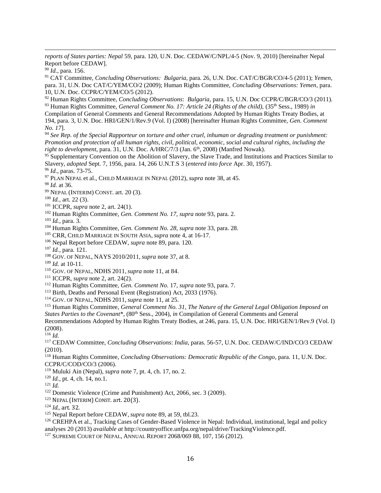*reports of States parties: Nepal* 59, para. 120, U.N. Doc. CEDAW/C/NPL/4-5 (Nov. 9, 2010) [hereinafter Nepal Report before CEDAW].

*Id.*, para. 156.

l

 CAT Committee, *Concluding Observations: Bulgaria*, para. 26, U.N. Doc. CAT/C/BGR/CO/4-5 (2011); *Yemen*, para. 31, U.N. Doc CAT/C/YEM/CO/2 (2009); Human Rights Committee, *Concluding Observations: Yemen*, para. 10, U.N. Doc. CCPR/C/YEM/CO/5 (2012).

 Human Rights Committee, *Concluding Observations*: *Bulgaria,* para. 15, U.N. Doc CCPR/C/BGR/CO/3 (2011). <sup>93</sup> Human Rights Committee, *General Comment No. 17: Article 24 (Rights of the child), (35<sup>th</sup> Sess., 1989) <i>in* 

Compilation of General Comments and General Recommendations Adopted by Human Rights Treaty Bodies, at 194, para. 3, U.N. Doc. HRI/GEN/1/Rev.9 (Vol. I) (2008) [hereinafter Human Rights Committee, *Gen. Comment No. 17*].

 *See Rep. of the Special Rapporteur on torture and other cruel, inhuman or degrading treatment or punishment: Promotion and protection of all human rights, civil, political, economic, social and cultural rights, including the right to development*, para. 31, U.N. Doc. A/HRC/7/3 (Jan. 6<sup>th</sup>, 2008) (Manfred Nowak).

<sup>95</sup> Supplementary Convention on the Abolition of Slavery, the Slave Trade, and Institutions and Practices Similar to Slavery, *adopted* Sept. 7, 1956, para. 14, 266 U.N.T.S 3 (*entered into force* Apr. 30, 1957).

*Id.*, paras. 73-75.

PLAN NEPAL et al., CHILD MARRIAGE IN NEPAL (2012), *supra* note 38, at 45.

*Id.* at 36.

NEPAL (INTERIM) CONST. art. 20 (3).

*Id.*, art. 22 (3).

ICCPR, *supra* note 2, art. 24(1).

Human Rights Committee, *Gen. Comment No. 17, supra* note 93, para. 2.

*Id.*, para. 3.

Human Rights Committee, *Gen. Comment No. 28, supra* note 33, para. 28.

CRR, CHILD MARRIAGE IN SOUTH ASIA, *supra* note 4, at 16-17.

Nepal Report before CEDAW, *supra* note 89, para. 120.

*Id.*, para. 121.

GOV. OF NEPAL, NAYS 2010/2011, *supra* note 37, at 8.

*Id.* at 10-11.

GOV. OF NEPAL, NDHS 2011, *supra* note 11, at 84.

ICCPR, *supra* note 2, art. 24(2).

Human Rights Committee, *Gen. Comment No.* 17, *supra* note 93, para. 7.

<sup>113</sup> Birth, Deaths and Personal Event (Registration) Act, 2033 (1976).

GOV. OF NEPAL, NDHS 2011, *supra* note 11, at 25.

 Human Rights Committee, *General Comment No. 31, The Nature of the General Legal Obligation Imposed on States Parties to the Covenant\**, (80<sup>th</sup> Sess., 2004), *in* Compilation of General Comments and General

Recommendations Adopted by Human Rights Treaty Bodies, at 246, para. 15, U.N. Doc. HRI/GEN/1/Rev.9 (Vol. I) (2008).

 $^{116}$  *Id.* 

 CEDAW Committee, *Concluding Observations*: *India*, paras. 56-57, U.N. Doc. CEDAW/C/IND/CO/3 CEDAW (2010).

 Human Rights Committee, *Concluding Observations: Democratic Republic of the Congo*, para. 11, U.N. Doc. CCPR/C/COD/CO/3 (2006).

Muluki Ain (Nepal), *supra* note 7, pt. 4, ch. 17, no. 2.

*Id.*, pt. 4, ch. 14, no.1.

*Id.*

Domestic Violence (Crime and Punishment) Act, 2066, sec. 3 (2009).

NEPAL (INTERIM) CONST. art. 20(3).

*Id.,* art. 32.

Nepal Report before CEDAW, *supra* note 89, at 59, tbl.23.

<sup>126</sup> CREHPA et al., Tracking Cases of Gender-Based Violence in Nepal: Individual, institutional, legal and policy analyses 20 (2013) *available at* http://countryoffice.unfpa.org/nepal/drive/TrackingViolence.pdf.

SUPREME COURT OF NEPAL, ANNUAL REPORT 2068/069 88, 107, 156 (2012).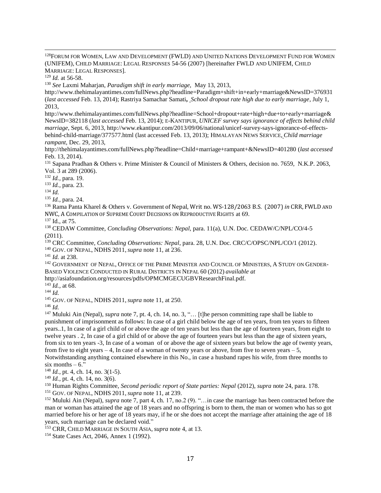<sup>128</sup>FORUM FOR WOMEN, LAW AND DEVELOPMENT (FWLD) AND UNITED NATIONS DEVELOPMENT FUND FOR WOMEN (UNIFEM), CHILD MARRIAGE: LEGAL RESPONSES 54-56 (2007) [hereinafter FWLD AND UNIFEM, CHILD MARRIAGE: LEGAL RESPONSES].

<sup>129</sup> *Id.* at 56-58.

l

<sup>130</sup> *See* Laxmi Maharjan, *Paradigm shift in early marriage,* May 13, 2013,

http://www.thehimalayantimes.com/fullNews.php?headline=Paradigm+shift+in+early+marriage&NewsID=376931 (*last accessed* Feb. 13, 2014); Rastriya Samachar Samati**,** *School dropout rate high due to early marriage*, July 1, 2013,

http://www.thehimalayantimes.com/fullNews.php?headline=School+dropout+rate+high+due+to+early+marriage& NewsID=382118 (*last accessed* Feb. 13, 2014); E-KANTIPUR, *UNICEF survey says ignorance of effects behind child marriage*, Sept. 6, 2013, http://www.ekantipur.com/2013/09/06/national/unicef-survey-says-ignorance-of-effectsbehind-child-marriage/377577.html (last accessed Feb. 13, 2013); HIMALAYAN NEWS SERVICE, *Child marriage rampant,* Dec. 29, 2013,

http://thehimalayantimes.com/fullNews.php?headline=Child+marriage+rampant+&NewsID=401280 (*last accessed* Feb. 13, 2014).

<sup>131</sup> Sapana Pradhan & Others v. Prime Minister & Council of Ministers & Others, decision no. 7659, N.K.P. 2063, Vol. 3 at 289 (2006).

<sup>132</sup> *Id.*, para. 19.

<sup>133</sup> *Id.*, para. 23.

<sup>134</sup> *Id.*

<sup>135</sup> *Id.*, para. 24.

<sup>136</sup> Rama Panta Kharel & Others v. Government of Nepal, Writ no. WS-128/2063 B.S. (2007) *in* CRR, FWLD AND NWC, A COMPILATION OF SUPREME COURT DECISIONS ON REPRODUCTIVE RIGHTS at 69.

<sup>137</sup> Id., at 75.

<sup>138</sup> CEDAW Committee, *Concluding Observations: Nepal,* para. 11(a), U.N. Doc. CEDAW/C/NPL/CO/4-5 (2011).

<sup>139</sup> CRC Committee, *Concluding Observations: Nepal*, para. 28, U.N. Doc. CRC/C/OPSC/NPL/CO/1 (2012).

<sup>140</sup> GOV. OF NEPAL, NDHS 2011, *supra* note 11, at 236.

<sup>141</sup> *Id.* at 238.

<sup>142</sup> GOVERNMENT OF NEPAL, OFFICE OF THE PRIME MINISTER AND COUNCIL OF MINISTERS, A STUDY ON GENDER-BASED VIOLENCE CONDUCTED IN RURAL DISTRICTS IN NEPAL 60 (2012) *available at* 

http://asiafoundation.org/resources/pdfs/OPMCMGECUGBVResearchFinal.pdf.

<sup>143</sup> *Id.*, at 68.

<sup>144</sup> *Id.*

<sup>145</sup> GOV. OF NEPAL, NDHS 2011, *supra* note 11, at 250.

<sup>146</sup> *Id.*

<sup>147</sup> Muluki Ain (Nepal), *supra* note 7, pt. 4, ch. 14, no. 3, "… [t]he person committing rape shall be liable to punishment of imprisonment as follows: In case of a girl child below the age of ten years, from ten years to fifteen years..1, In case of a girl child of or above the age of ten years but less than the age of fourteen years, from eight to twelve years . 2, In case of a girl child of or above the age of fourteen years but less than the age of sixteen years, from six to ten years -3, In case of a woman of or above the age of sixteen years but below the age of twenty years, from five to eight years  $-4$ , In case of a woman of twenty years or above, from five to seven years  $-5$ , Notwithstanding anything contained elsewhere in this No., in case a husband rapes his wife, from three months to

six months  $-6$ ."

<sup>148</sup> *Id.*, pt. 4, ch. 14, no. 3(1-5).

<sup>149</sup> *Id.*, pt. 4, ch. 14, no. 3(6).

<sup>150</sup> Human Rights Committee, *Second periodic report of State parties: Nepal* (2012), *supra* note 24, para. 178.

<sup>151</sup> GOV. OF NEPAL, NDHS 2011, *supra* note 11, at 239.

<sup>152</sup> Muluki Ain (Nepal), *supra* note 7, part 4, ch. 17, no.2 (9). "…in case the marriage has been contracted before the man or woman has attained the age of 18 years and no offspring is born to them, the man or women who has so got married before his or her age of 18 years may, if he or she does not accept the marriage after attaining the age of 18 years, such marriage can be declared void."

<sup>153</sup> CRR, CHILD MARRIAGE IN SOUTH ASIA, *supra* note 4, at 13.

<sup>154</sup> State Cases Act, 2046, Annex 1 (1992).